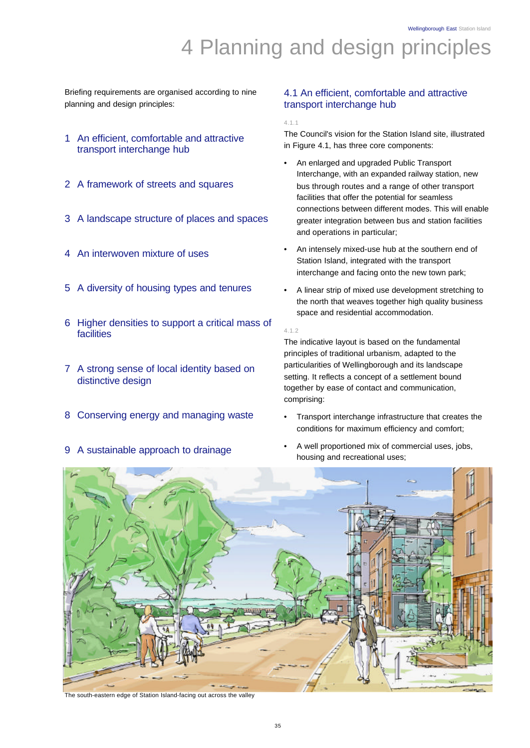Wellingborough East Station Island

# 4 Planning and design principles

Briefing requirements are organised according to nine planning and design principles:

- 1 An efficient, comfortable and attractive transport interchange hub
- 2 A framework of streets and squares
- 3 A landscape structure of places and spaces
- 4 An interwoven mixture of uses
- 5 A diversity of housing types and tenures
- 6 Higher densities to support a critical mass of facilities
- 7 A strong sense of local identity based on distinctive design
- 8 Conserving energy and managing waste
- 9 A sustainable approach to drainage

# 4.1 An efficient, comfortable and attractive transport interchange hub

4.1.1

The Council's vision for the Station Island site, illustrated in Figure 4.1, has three core components:

- An enlarged and upgraded Public Transport Interchange, with an expanded railway station, new bus through routes and a range of other transport facilities that offer the potential for seamless connections between different modes. This will enable greater integration between bus and station facilities and operations in particular;
- An intensely mixed-use hub at the southern end of Station Island, integrated with the transport interchange and facing onto the new town park;
- A linear strip of mixed use development stretching to the north that weaves together high quality business space and residential accommodation.

4.1.2

The indicative layout is based on the fundamental principles of traditional urbanism, adapted to the particularities of Wellingborough and its landscape setting. It reflects a concept of a settlement bound together by ease of contact and communication, comprising:

- Transport interchange infrastructure that creates the conditions for maximum efficiency and comfort;
- A well proportioned mix of commercial uses, jobs, housing and recreational uses;



The south-eastern edge of Station Island-facing out across the valley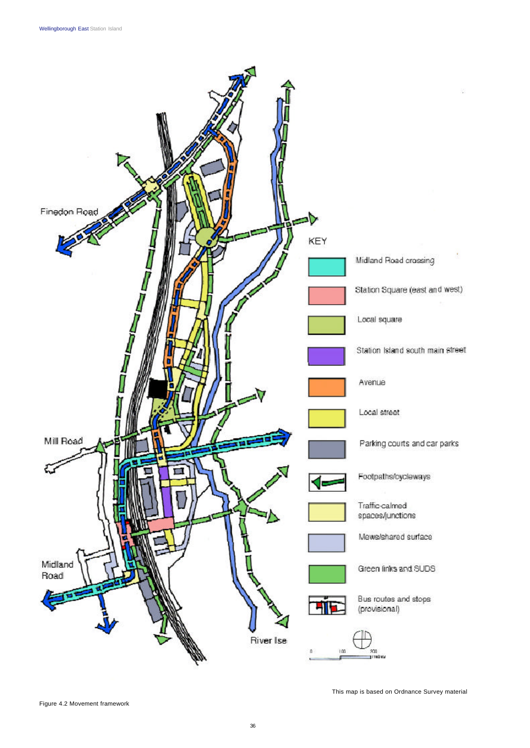

Figure 4.2 Movement framework

This map is based on Ordnance Survey material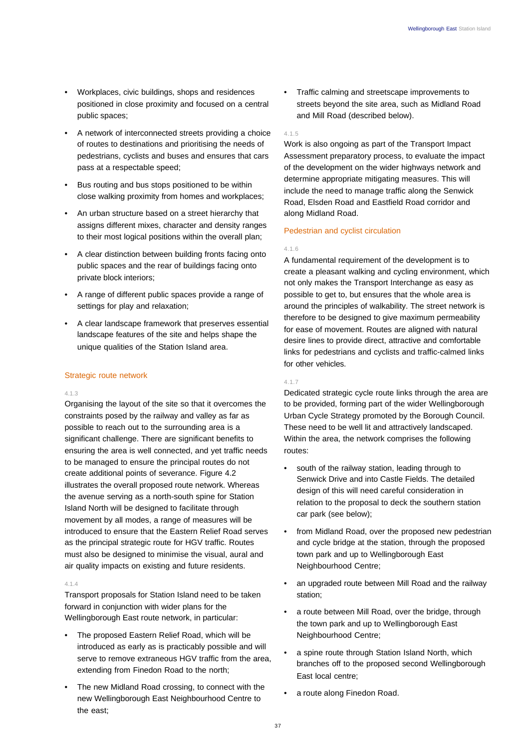- Workplaces, civic buildings, shops and residences positioned in close proximity and focused on a central public spaces;
- A network of interconnected streets providing a choice of routes to destinations and prioritising the needs of pedestrians, cyclists and buses and ensures that cars pass at a respectable speed;
- Bus routing and bus stops positioned to be within close walking proximity from homes and workplaces;
- An urban structure based on a street hierarchy that assigns different mixes, character and density ranges to their most logical positions within the overall plan;
- A clear distinction between building fronts facing onto public spaces and the rear of buildings facing onto private block interiors;
- A range of different public spaces provide a range of settings for play and relaxation;
- A clear landscape framework that preserves essential landscape features of the site and helps shape the unique qualities of the Station Island area.

# Strategic route network

#### 4.1.3

Organising the layout of the site so that it overcomes the constraints posed by the railway and valley as far as possible to reach out to the surrounding area is a significant challenge. There are significant benefits to ensuring the area is well connected, and yet traffic needs to be managed to ensure the principal routes do not create additional points of severance. Figure 4.2 illustrates the overall proposed route network. Whereas the avenue serving as a north-south spine for Station Island North will be designed to facilitate through movement by all modes, a range of measures will be introduced to ensure that the Eastern Relief Road serves as the principal strategic route for HGV traffic. Routes must also be designed to minimise the visual, aural and air quality impacts on existing and future residents.

# $4.1.4$

Transport proposals for Station Island need to be taken forward in conjunction with wider plans for the Wellingborough East route network, in particular:

- The proposed Eastern Relief Road, which will be introduced as early as is practicably possible and will serve to remove extraneous HGV traffic from the area. extending from Finedon Road to the north;
- The new Midland Road crossing, to connect with the new Wellingborough East Neighbourhood Centre to the east;

• Traffic calming and streetscape improvements to streets beyond the site area, such as Midland Road and Mill Road (described below).

# 4.1.5

Work is also ongoing as part of the Transport Impact Assessment preparatory process, to evaluate the impact of the development on the wider highways network and determine appropriate mitigating measures. This will include the need to manage traffic along the Senwick Road, Elsden Road and Eastfield Road corridor and along Midland Road.

# Pedestrian and cyclist circulation

# 4.1.6

A fundamental requirement of the development is to create a pleasant walking and cycling environment, which not only makes the Transport Interchange as easy as possible to get to, but ensures that the whole area is around the principles of walkability. The street network is therefore to be designed to give maximum permeability for ease of movement. Routes are aligned with natural desire lines to provide direct, attractive and comfortable links for pedestrians and cyclists and traffic-calmed links for other vehicles.

# 4.1.7

Dedicated strategic cycle route links through the area are to be provided, forming part of the wider Wellingborough Urban Cycle Strategy promoted by the Borough Council. These need to be well lit and attractively landscaped. Within the area, the network comprises the following routes:

- south of the railway station, leading through to Senwick Drive and into Castle Fields. The detailed design of this will need careful consideration in relation to the proposal to deck the southern station car park (see below);
- from Midland Road, over the proposed new pedestrian and cycle bridge at the station, through the proposed town park and up to Wellingborough East Neighbourhood Centre;
- an upgraded route between Mill Road and the railway station;
- a route between Mill Road, over the bridge, through the town park and up to Wellingborough East Neighbourhood Centre;
- a spine route through Station Island North, which branches off to the proposed second Wellingborough East local centre;
- a route along Finedon Road.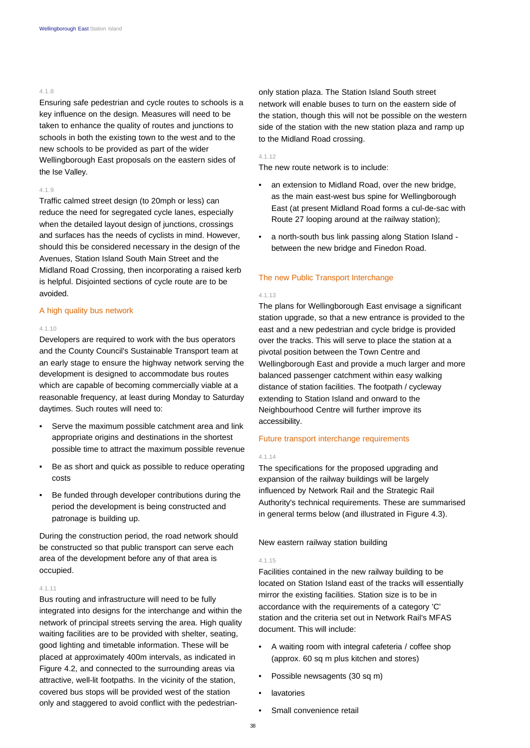# 4.1.8

Ensuring safe pedestrian and cycle routes to schools is a key influence on the design. Measures will need to be taken to enhance the quality of routes and junctions to schools in both the existing town to the west and to the new schools to be provided as part of the wider Wellingborough East proposals on the eastern sides of the Ise Valley.

# 4.1.9

Traffic calmed street design (to 20mph or less) can reduce the need for segregated cycle lanes, especially when the detailed layout design of junctions, crossings and surfaces has the needs of cyclists in mind. However, should this be considered necessary in the design of the Avenues, Station Island South Main Street and the Midland Road Crossing, then incorporating a raised kerb is helpful. Disjointed sections of cycle route are to be avoided.

#### A high quality bus network

#### 4.1.10

Developers are required to work with the bus operators and the County Council's Sustainable Transport team at an early stage to ensure the highway network serving the development is designed to accommodate bus routes which are capable of becoming commercially viable at a reasonable frequency, at least during Monday to Saturday daytimes. Such routes will need to:

- Serve the maximum possible catchment area and link appropriate origins and destinations in the shortest possible time to attract the maximum possible revenue
- Be as short and quick as possible to reduce operating costs
- Be funded through developer contributions during the period the development is being constructed and patronage is building up.

During the construction period, the road network should be constructed so that public transport can serve each area of the development before any of that area is occupied.

# 4.1.11

Bus routing and infrastructure will need to be fully integrated into designs for the interchange and within the network of principal streets serving the area. High quality waiting facilities are to be provided with shelter, seating, good lighting and timetable information. These will be placed at approximately 400m intervals, as indicated in Figure 4.2, and connected to the surrounding areas via attractive, well-lit footpaths. In the vicinity of the station, covered bus stops will be provided west of the station only and staggered to avoid conflict with the pedestrianonly station plaza. The Station Island South street network will enable buses to turn on the eastern side of the station, though this will not be possible on the western side of the station with the new station plaza and ramp up to the Midland Road crossing.

#### 4.1.12

The new route network is to include:

- an extension to Midland Road, over the new bridge, as the main east-west bus spine for Wellingborough East (at present Midland Road forms a cul-de-sac with Route 27 looping around at the railway station);
- a north-south bus link passing along Station Island between the new bridge and Finedon Road.

# The new Public Transport Interchange

#### 4.1.13

The plans for Wellingborough East envisage a significant station upgrade, so that a new entrance is provided to the east and a new pedestrian and cycle bridge is provided over the tracks. This will serve to place the station at a pivotal position between the Town Centre and Wellingborough East and provide a much larger and more balanced passenger catchment within easy walking distance of station facilities. The footpath / cycleway extending to Station Island and onward to the Neighbourhood Centre will further improve its accessibility.

# Future transport interchange requirements

#### 4.1.14

The specifications for the proposed upgrading and expansion of the railway buildings will be largely influenced by Network Rail and the Strategic Rail Authority's technical requirements. These are summarised in general terms below (and illustrated in Figure 4.3).

New eastern railway station building

# 4.1.15

Facilities contained in the new railway building to be located on Station Island east of the tracks will essentially mirror the existing facilities. Station size is to be in accordance with the requirements of a category 'C' station and the criteria set out in Network Rail's MFAS document. This will include:

- A waiting room with integral cafeteria / coffee shop (approx. 60 sq m plus kitchen and stores)
- Possible newsagents (30 sq m)
- **lavatories**
- Small convenience retail